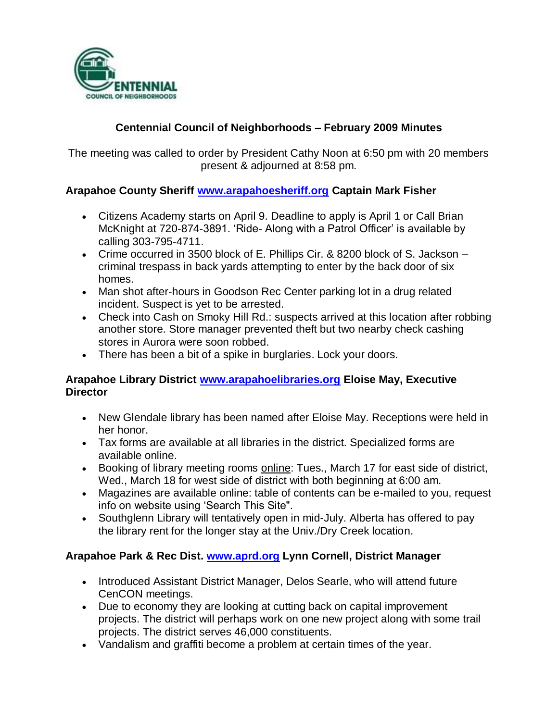

# **Centennial Council of Neighborhoods – February 2009 Minutes**

The meeting was called to order by President Cathy Noon at 6:50 pm with 20 members present & adjourned at 8:58 pm.

### **Arapahoe County Sheriff [www.arapahoesheriff.org](http://www.arapahoesheriff.org/) Captain Mark Fisher**

- Citizens Academy starts on April 9. Deadline to apply is April 1 or Call Brian McKnight at 720-874-3891. 'Ride- Along with a Patrol Officer' is available by calling 303-795-4711.
- Crime occurred in 3500 block of E. Phillips Cir. & 8200 block of S. Jackson criminal trespass in back yards attempting to enter by the back door of six homes.
- Man shot after-hours in Goodson Rec Center parking lot in a drug related incident. Suspect is yet to be arrested.
- Check into Cash on Smoky Hill Rd.: suspects arrived at this location after robbing another store. Store manager prevented theft but two nearby check cashing stores in Aurora were soon robbed.
- There has been a bit of a spike in burglaries. Lock your doors.

#### **Arapahoe Library District [www.arapahoelibraries.org](http://www.arapahoelibraries.org/) Eloise May, Executive Director**

- New Glendale library has been named after Eloise May. Receptions were held in her honor.
- Tax forms are available at all libraries in the district. Specialized forms are available online.
- Booking of library meeting rooms online: Tues., March 17 for east side of district, Wed., March 18 for west side of district with both beginning at 6:00 am.
- Magazines are available online: table of contents can be e-mailed to you, request info on website using 'Search This Site".
- Southglenn Library will tentatively open in mid-July. Alberta has offered to pay the library rent for the longer stay at the Univ./Dry Creek location.

### **Arapahoe Park & Rec Dist. [www.aprd.org](http://www.aprd.org/) Lynn Cornell, District Manager**

- Introduced Assistant District Manager, Delos Searle, who will attend future CenCON meetings.
- Due to economy they are looking at cutting back on capital improvement projects. The district will perhaps work on one new project along with some trail projects. The district serves 46,000 constituents.
- Vandalism and graffiti become a problem at certain times of the year.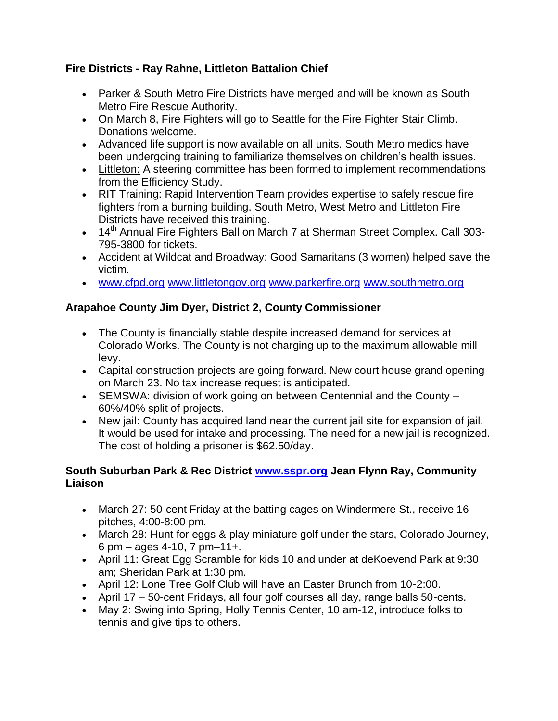## **Fire Districts - Ray Rahne, Littleton Battalion Chief**

- Parker & South Metro Fire Districts have merged and will be known as South Metro Fire Rescue Authority.
- On March 8, Fire Fighters will go to Seattle for the Fire Fighter Stair Climb. Donations welcome.
- Advanced life support is now available on all units. South Metro medics have been undergoing training to familiarize themselves on children's health issues.
- Littleton: A steering committee has been formed to implement recommendations from the Efficiency Study.
- RIT Training: Rapid Intervention Team provides expertise to safely rescue fire fighters from a burning building. South Metro, West Metro and Littleton Fire Districts have received this training.
- 14<sup>th</sup> Annual Fire Fighters Ball on March 7 at Sherman Street Complex. Call 303-795-3800 for tickets.
- Accident at Wildcat and Broadway: Good Samaritans (3 women) helped save the victim.
- [www.cfpd.org](http://www.cfpd.org/) [www.littletongov.org](http://www.littletongov.org/) [www.parkerfire.org](http://www.parkerfire.org/) [www.southmetro.org](http://www.southmetro.org/)

# **Arapahoe County Jim Dyer, District 2, County Commissioner**

- The County is financially stable despite increased demand for services at Colorado Works. The County is not charging up to the maximum allowable mill levy.
- Capital construction projects are going forward. New court house grand opening on March 23. No tax increase request is anticipated.
- SEMSWA: division of work going on between Centennial and the County 60%/40% split of projects.
- New jail: County has acquired land near the current jail site for expansion of jail. It would be used for intake and processing. The need for a new jail is recognized. The cost of holding a prisoner is \$62.50/day.

### **South Suburban Park & Rec District [www.sspr.org](http://www.sspr.org/) Jean Flynn Ray, Community Liaison**

- March 27: 50-cent Friday at the batting cages on Windermere St., receive 16 pitches, 4:00-8:00 pm.
- March 28: Hunt for eggs & play miniature golf under the stars, Colorado Journey, 6 pm – ages 4-10, 7 pm–11+.
- April 11: Great Egg Scramble for kids 10 and under at deKoevend Park at 9:30 am; Sheridan Park at 1:30 pm.
- April 12: Lone Tree Golf Club will have an Easter Brunch from 10-2:00.
- April 17 50-cent Fridays, all four golf courses all day, range balls 50-cents.
- May 2: Swing into Spring, Holly Tennis Center, 10 am-12, introduce folks to tennis and give tips to others.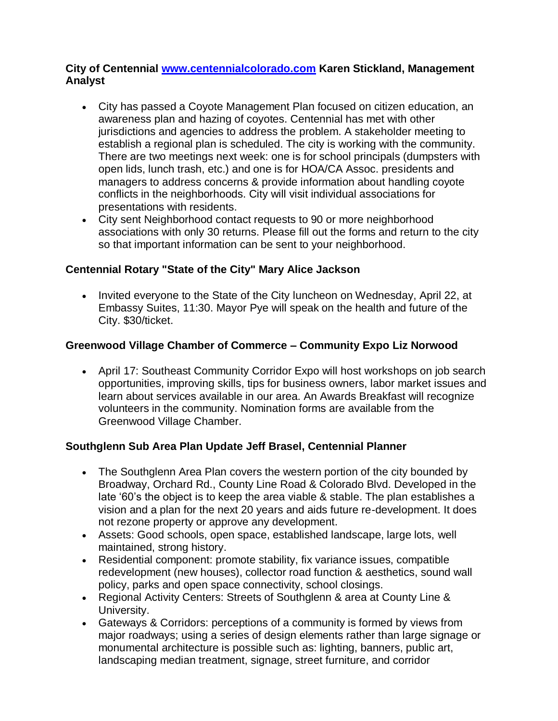#### **City of Centennial [www.centennialcolorado.com](http://www.centennialcolorado.com/) Karen Stickland, Management Analyst**

- City has passed a Coyote Management Plan focused on citizen education, an awareness plan and hazing of coyotes. Centennial has met with other jurisdictions and agencies to address the problem. A stakeholder meeting to establish a regional plan is scheduled. The city is working with the community. There are two meetings next week: one is for school principals (dumpsters with open lids, lunch trash, etc.) and one is for HOA/CA Assoc. presidents and managers to address concerns & provide information about handling coyote conflicts in the neighborhoods. City will visit individual associations for presentations with residents.
- City sent Neighborhood contact requests to 90 or more neighborhood associations with only 30 returns. Please fill out the forms and return to the city so that important information can be sent to your neighborhood.

### **Centennial Rotary "State of the City" Mary Alice Jackson**

• Invited everyone to the State of the City luncheon on Wednesday, April 22, at Embassy Suites, 11:30. Mayor Pye will speak on the health and future of the City. \$30/ticket.

# **Greenwood Village Chamber of Commerce – Community Expo Liz Norwood**

 April 17: Southeast Community Corridor Expo will host workshops on job search opportunities, improving skills, tips for business owners, labor market issues and learn about services available in our area. An Awards Breakfast will recognize volunteers in the community. Nomination forms are available from the Greenwood Village Chamber.

### **Southglenn Sub Area Plan Update Jeff Brasel, Centennial Planner**

- The Southglenn Area Plan covers the western portion of the city bounded by Broadway, Orchard Rd., County Line Road & Colorado Blvd. Developed in the late '60's the object is to keep the area viable & stable. The plan establishes a vision and a plan for the next 20 years and aids future re-development. It does not rezone property or approve any development.
- Assets: Good schools, open space, established landscape, large lots, well maintained, strong history.
- Residential component: promote stability, fix variance issues, compatible redevelopment (new houses), collector road function & aesthetics, sound wall policy, parks and open space connectivity, school closings.
- Regional Activity Centers: Streets of Southglenn & area at County Line & University.
- Gateways & Corridors: perceptions of a community is formed by views from major roadways; using a series of design elements rather than large signage or monumental architecture is possible such as: lighting, banners, public art, landscaping median treatment, signage, street furniture, and corridor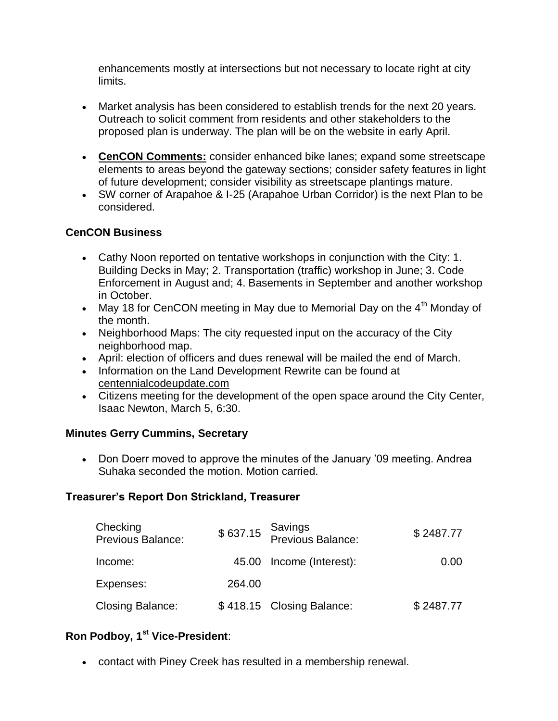enhancements mostly at intersections but not necessary to locate right at city limits.

- Market analysis has been considered to establish trends for the next 20 years. Outreach to solicit comment from residents and other stakeholders to the proposed plan is underway. The plan will be on the website in early April.
- **CenCON Comments:** consider enhanced bike lanes; expand some streetscape elements to areas beyond the gateway sections; consider safety features in light of future development; consider visibility as streetscape plantings mature.
- SW corner of Arapahoe & I-25 (Arapahoe Urban Corridor) is the next Plan to be considered.

#### **CenCON Business**

- Cathy Noon reported on tentative workshops in conjunction with the City: 1. Building Decks in May; 2. Transportation (traffic) workshop in June; 3. Code Enforcement in August and; 4. Basements in September and another workshop in October.
- May 18 for CenCON meeting in May due to Memorial Day on the  $4<sup>th</sup>$  Monday of the month.
- Neighborhood Maps: The city requested input on the accuracy of the City neighborhood map.
- April: election of officers and dues renewal will be mailed the end of March.
- Information on the Land Development Rewrite can be found at centennialcodeupdate.com
- Citizens meeting for the development of the open space around the City Center, Isaac Newton, March 5, 6:30.

#### **Minutes Gerry Cummins, Secretary**

• Don Doerr moved to approve the minutes of the January '09 meeting. Andrea Suhaka seconded the motion. Motion carried.

#### **Treasurer's Report Don Strickland, Treasurer**

| Checking<br><b>Previous Balance:</b> |        | \$637.15 Savings<br>Previous Balance: | \$2487.77 |
|--------------------------------------|--------|---------------------------------------|-----------|
| Income:                              |        | 45.00 Income (Interest):              | 0.00      |
| Expenses:                            | 264.00 |                                       |           |
| <b>Closing Balance:</b>              |        | \$418.15 Closing Balance:             | \$2487.77 |

### **Ron Podboy, 1st Vice-President**:

contact with Piney Creek has resulted in a membership renewal.